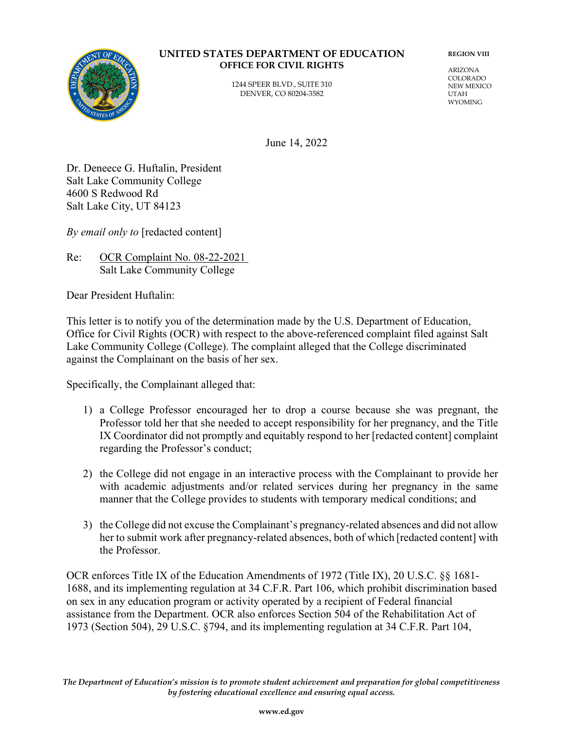

#### **UNITED STATES DEPARTMENT OF EDUCATION OFFICE FOR CIVIL RIGHTS**

1244 SPEER BLVD., SUITE 310 DENVER, CO 80204-3582

**REGION VIII**

ARIZONA COLORADO NEW MEXICO UTAH WYOMING

June 14, 2022

Dr. Deneece G. Huftalin, President Salt Lake Community College 4600 S Redwood Rd Salt Lake City, UT 84123

*By email only to* [redacted content]

Re: OCR Complaint No. 08-22-2021 Salt Lake Community College

Dear President Huftalin:

This letter is to notify you of the determination made by the U.S. Department of Education, Office for Civil Rights (OCR) with respect to the above-referenced complaint filed against Salt Lake Community College (College). The complaint alleged that the College discriminated against the Complainant on the basis of her sex.

Specifically, the Complainant alleged that:

- 1) a College Professor encouraged her to drop a course because she was pregnant, the Professor told her that she needed to accept responsibility for her pregnancy, and the Title IX Coordinator did not promptly and equitably respond to her [redacted content] complaint regarding the Professor's conduct;
- 2) the College did not engage in an interactive process with the Complainant to provide her with academic adjustments and/or related services during her pregnancy in the same manner that the College provides to students with temporary medical conditions; and
- 3) the College did not excuse the Complainant's pregnancy-related absences and did not allow her to submit work after pregnancy-related absences, both of which [redacted content] with the Professor.

OCR enforces Title IX of the Education Amendments of 1972 (Title IX), 20 U.S.C. §§ 1681- 1688, and its implementing regulation at 34 C.F.R. Part 106, which prohibit discrimination based on sex in any education program or activity operated by a recipient of Federal financial assistance from the Department. OCR also enforces Section 504 of the Rehabilitation Act of 1973 (Section 504), 29 U.S.C. §794, and its implementing regulation at 34 C.F.R. Part 104,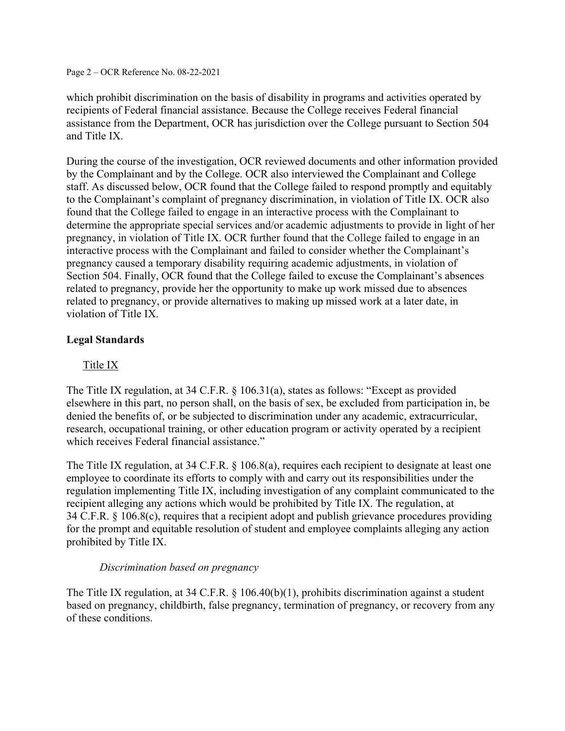Page 2 – OCR Reference No. 08-22-2021

which prohibit discrimination on the basis of disability in programs and activities operated by recipients of Federal financial assistance. Because the College receives Federal financial assistance from the Department, OCR has jurisdiction over the College pursuant to Section 504 and Title IX.

During the course of the investigation, OCR reviewed documents and other information provided by the Complainant and by the College. OCR also interviewed the Complainant and College staff. As discussed below, OCR found that the College failed to respond promptly and equitably to the Complainant's complaint of pregnancy discrimination, in violation of Title IX. OCR also found that the College failed to engage in an interactive process with the Complainant to determine the appropriate special services and/or academic adjustments to provide in light of her pregnancy, in violation of Title IX. OCR further found that the College failed to engage in an interactive process with the Complainant and failed to consider whether the Complainant's pregnancy caused a temporary disability requiring academic adjustments, in violation of Section 504. Finally, OCR found that the College failed to excuse the Complainant's absences related to pregnancy, provide her the opportunity to make up work missed due to absences related to pregnancy, or provide alternatives to making up missed work at a later date, in violation of Title IX.

# **Legal Standards**

# Title IX

The Title IX regulation, at 34 C.F.R. § 106.31(a), states as follows: "Except as provided elsewhere in this part, no person shall, on the basis of sex, be excluded from participation in, be denied the benefits of, or be subjected to discrimination under any academic, extracurricular, research, occupational training, or other education program or activity operated by a recipient which receives Federal financial assistance."

The Title IX regulation, at 34 C.F.R. § 106.8(a), requires each recipient to designate at least one employee to coordinate its efforts to comply with and carry out its responsibilities under the regulation implementing Title IX, including investigation of any complaint communicated to the recipient alleging any actions which would be prohibited by Title IX. The regulation, at 34 C.F.R. § 106.8(c), requires that a recipient adopt and publish grievance procedures providing for the prompt and equitable resolution of student and employee complaints alleging any action prohibited by Title IX.

## *Discrimination based on pregnancy*

The Title IX regulation, at 34 C.F.R. § 106.40(b)(1), prohibits discrimination against a student based on pregnancy, childbirth, false pregnancy, termination of pregnancy, or recovery from any of these conditions.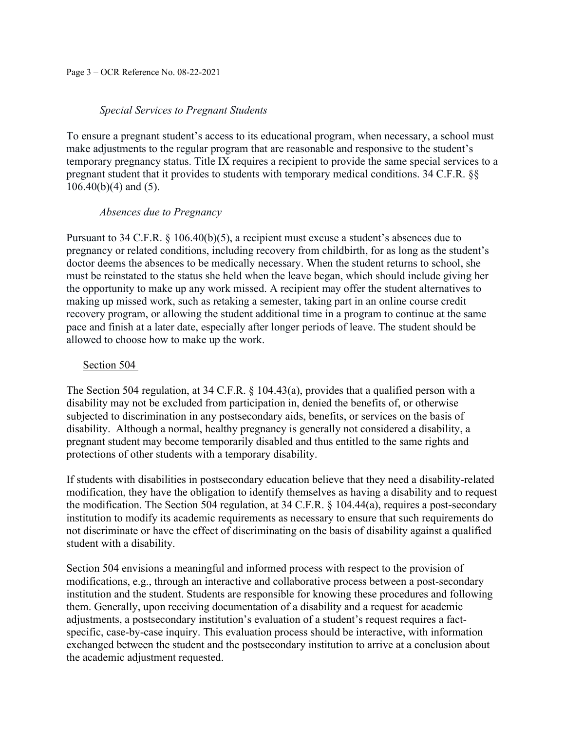#### *Special Services to Pregnant Students*

To ensure a pregnant student's access to its educational program, when necessary, a school must make adjustments to the regular program that are reasonable and responsive to the student's temporary pregnancy status. Title IX requires a recipient to provide the same special services to a pregnant student that it provides to students with temporary medical conditions. 34 C.F.R. §§ 106.40(b)(4) and (5).

#### *Absences due to Pregnancy*

Pursuant to 34 C.F.R. § 106.40(b)(5), a recipient must excuse a student's absences due to pregnancy or related conditions, including recovery from childbirth, for as long as the student's doctor deems the absences to be medically necessary. When the student returns to school, she must be reinstated to the status she held when the leave began, which should include giving her the opportunity to make up any work missed. A recipient may offer the student alternatives to making up missed work, such as retaking a semester, taking part in an online course credit recovery program, or allowing the student additional time in a program to continue at the same pace and finish at a later date, especially after longer periods of leave. The student should be allowed to choose how to make up the work.

### Section 504

The Section 504 regulation, at 34 C.F.R. § 104.43(a), provides that a qualified person with a disability may not be excluded from participation in, denied the benefits of, or otherwise subjected to discrimination in any postsecondary aids, benefits, or services on the basis of disability. Although a normal, healthy pregnancy is generally not considered a disability, a pregnant student may become temporarily disabled and thus entitled to the same rights and protections of other students with a temporary disability.

If students with disabilities in postsecondary education believe that they need a disability-related modification, they have the obligation to identify themselves as having a disability and to request the modification. The Section 504 regulation, at 34 C.F.R. § 104.44(a), requires a post-secondary institution to modify its academic requirements as necessary to ensure that such requirements do not discriminate or have the effect of discriminating on the basis of disability against a qualified student with a disability.

Section 504 envisions a meaningful and informed process with respect to the provision of modifications, e.g., through an interactive and collaborative process between a post-secondary institution and the student. Students are responsible for knowing these procedures and following them. Generally, upon receiving documentation of a disability and a request for academic adjustments, a postsecondary institution's evaluation of a student's request requires a factspecific, case-by-case inquiry. This evaluation process should be interactive, with information exchanged between the student and the postsecondary institution to arrive at a conclusion about the academic adjustment requested.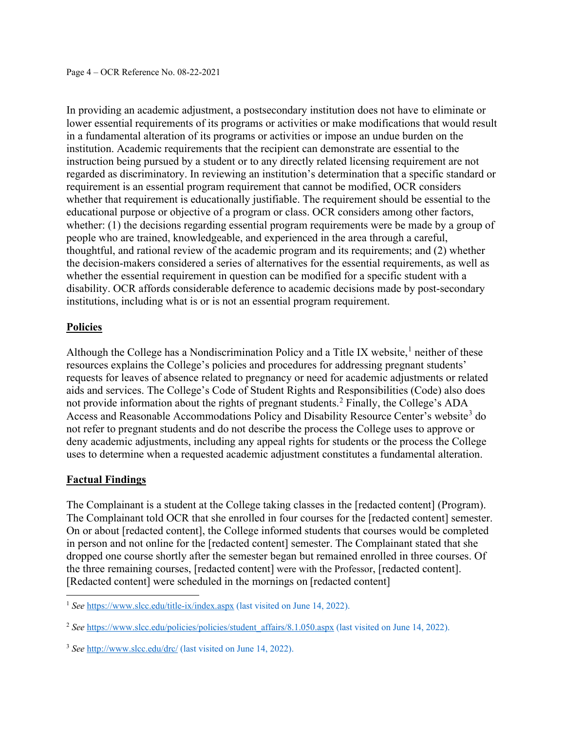In providing an academic adjustment, a postsecondary institution does not have to eliminate or lower essential requirements of its programs or activities or make modifications that would result in a fundamental alteration of its programs or activities or impose an undue burden on the institution. Academic requirements that the recipient can demonstrate are essential to the instruction being pursued by a student or to any directly related licensing requirement are not regarded as discriminatory. In reviewing an institution's determination that a specific standard or requirement is an essential program requirement that cannot be modified, OCR considers whether that requirement is educationally justifiable. The requirement should be essential to the educational purpose or objective of a program or class. OCR considers among other factors, whether: (1) the decisions regarding essential program requirements were be made by a group of people who are trained, knowledgeable, and experienced in the area through a careful, thoughtful, and rational review of the academic program and its requirements; and (2) whether the decision-makers considered a series of alternatives for the essential requirements, as well as whether the essential requirement in question can be modified for a specific student with a disability. OCR affords considerable deference to academic decisions made by post-secondary institutions, including what is or is not an essential program requirement.

# **Policies**

Although the College has a Nondiscrimination Policy and a Title IX website,<sup>[1](#page-3-0)</sup> neither of these resources explains the College's policies and procedures for addressing pregnant students' requests for leaves of absence related to pregnancy or need for academic adjustments or related aids and services. The College's Code of Student Rights and Responsibilities (Code) also does not provide information about the rights of pregnant students.<sup>[2](#page-3-1)</sup> Finally, the College's ADA Access and Reasonable Accommodations Policy and Disability Resource Center's website<sup>[3](#page-3-2)</sup> do not refer to pregnant students and do not describe the process the College uses to approve or deny academic adjustments, including any appeal rights for students or the process the College uses to determine when a requested academic adjustment constitutes a fundamental alteration.

## **Factual Findings**

The Complainant is a student at the College taking classes in the [redacted content] (Program). The Complainant told OCR that she enrolled in four courses for the [redacted content] semester. On or about [redacted content], the College informed students that courses would be completed in person and not online for the [redacted content] semester. The Complainant stated that she dropped one course shortly after the semester began but remained enrolled in three courses. Of the three remaining courses, [redacted content] were with the Professor, [redacted content]. [Redacted content] were scheduled in the mornings on [redacted content]

<span id="page-3-0"></span><sup>&</sup>lt;sup>1</sup> See <https://www.slcc.edu/title-ix/index.aspx> (last visited on June 14, 2022).

<span id="page-3-1"></span><sup>&</sup>lt;sup>2</sup> See [https://www.slcc.edu/policies/policies/student\\_affairs/8.1.050.aspx](https://www.slcc.edu/policies/policies/student_affairs/8.1.050.aspx) (last visited on June 14, 2022).

<span id="page-3-2"></span><sup>3</sup> *See* <http://www.slcc.edu/drc/> (last visited on June 14, 2022).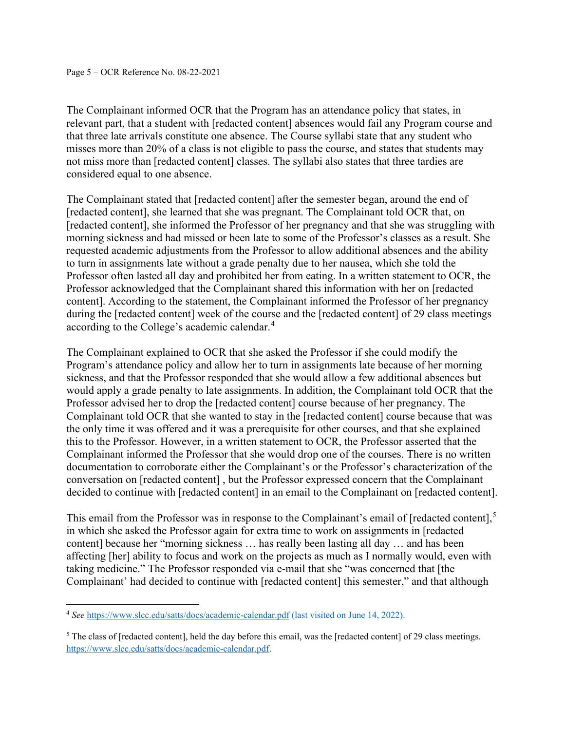The Complainant informed OCR that the Program has an attendance policy that states, in relevant part, that a student with [redacted content] absences would fail any Program course and that three late arrivals constitute one absence. The Course syllabi state that any student who misses more than 20% of a class is not eligible to pass the course, and states that students may not miss more than [redacted content] classes. The syllabi also states that three tardies are considered equal to one absence.

The Complainant stated that [redacted content] after the semester began, around the end of [redacted content], she learned that she was pregnant. The Complainant told OCR that, on [redacted content], she informed the Professor of her pregnancy and that she was struggling with morning sickness and had missed or been late to some of the Professor's classes as a result. She requested academic adjustments from the Professor to allow additional absences and the ability to turn in assignments late without a grade penalty due to her nausea, which she told the Professor often lasted all day and prohibited her from eating. In a written statement to OCR, the Professor acknowledged that the Complainant shared this information with her on [redacted content]. According to the statement, the Complainant informed the Professor of her pregnancy during the [redacted content] week of the course and the [redacted content] of 29 class meetings according to the College's academic calendar. [4](#page-4-0)

The Complainant explained to OCR that she asked the Professor if she could modify the Program's attendance policy and allow her to turn in assignments late because of her morning sickness, and that the Professor responded that she would allow a few additional absences but would apply a grade penalty to late assignments. In addition, the Complainant told OCR that the Professor advised her to drop the [redacted content] course because of her pregnancy. The Complainant told OCR that she wanted to stay in the [redacted content] course because that was the only time it was offered and it was a prerequisite for other courses, and that she explained this to the Professor. However, in a written statement to OCR, the Professor asserted that the Complainant informed the Professor that she would drop one of the courses. There is no written documentation to corroborate either the Complainant's or the Professor's characterization of the conversation on [redacted content] , but the Professor expressed concern that the Complainant decided to continue with [redacted content] in an email to the Complainant on [redacted content].

This email from the Professor was in response to the Complainant's email of [redacted content],<sup>[5](#page-4-1)</sup> in which she asked the Professor again for extra time to work on assignments in [redacted content] because her "morning sickness … has really been lasting all day … and has been affecting [her] ability to focus and work on the projects as much as I normally would, even with taking medicine." The Professor responded via e-mail that she "was concerned that [the Complainant' had decided to continue with [redacted content] this semester," and that although

<span id="page-4-0"></span><sup>4</sup> *See* <https://www.slcc.edu/satts/docs/academic-calendar.pdf> (last visited on June 14, 2022).

<span id="page-4-1"></span><sup>&</sup>lt;sup>5</sup> The class of [redacted content], held the day before this email, was the [redacted content] of 29 class meetings. [https://www.slcc.edu/satts/docs/academic-calendar.pdf.](https://www.slcc.edu/satts/docs/academic-calendar.pdf)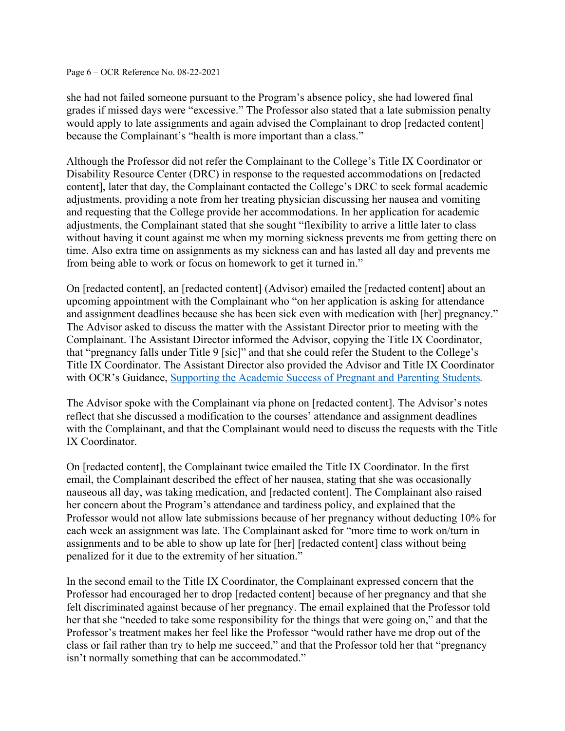#### Page 6 – OCR Reference No. 08-22-2021

she had not failed someone pursuant to the Program's absence policy, she had lowered final grades if missed days were "excessive." The Professor also stated that a late submission penalty would apply to late assignments and again advised the Complainant to drop [redacted content] because the Complainant's "health is more important than a class."

Although the Professor did not refer the Complainant to the College's Title IX Coordinator or Disability Resource Center (DRC) in response to the requested accommodations on [redacted content], later that day, the Complainant contacted the College's DRC to seek formal academic adjustments, providing a note from her treating physician discussing her nausea and vomiting and requesting that the College provide her accommodations. In her application for academic adjustments, the Complainant stated that she sought "flexibility to arrive a little later to class without having it count against me when my morning sickness prevents me from getting there on time. Also extra time on assignments as my sickness can and has lasted all day and prevents me from being able to work or focus on homework to get it turned in."

On [redacted content], an [redacted content] (Advisor) emailed the [redacted content] about an upcoming appointment with the Complainant who "on her application is asking for attendance and assignment deadlines because she has been sick even with medication with [her] pregnancy." The Advisor asked to discuss the matter with the Assistant Director prior to meeting with the Complainant. The Assistant Director informed the Advisor, copying the Title IX Coordinator, that "pregnancy falls under Title 9 [sic]" and that she could refer the Student to the College's Title IX Coordinator. The Assistant Director also provided the Advisor and Title IX Coordinator with OCR's Guidance, [Supporting the Academic Success of](https://www2.ed.gov/about/offices/list/ocr/docs/pregnancy.html) Pregnant and Parenting Students*.*

The Advisor spoke with the Complainant via phone on [redacted content]. The Advisor's notes reflect that she discussed a modification to the courses' attendance and assignment deadlines with the Complainant, and that the Complainant would need to discuss the requests with the Title IX Coordinator.

On [redacted content], the Complainant twice emailed the Title IX Coordinator. In the first email, the Complainant described the effect of her nausea, stating that she was occasionally nauseous all day, was taking medication, and [redacted content]. The Complainant also raised her concern about the Program's attendance and tardiness policy, and explained that the Professor would not allow late submissions because of her pregnancy without deducting 10% for each week an assignment was late. The Complainant asked for "more time to work on/turn in assignments and to be able to show up late for [her] [redacted content] class without being penalized for it due to the extremity of her situation."

In the second email to the Title IX Coordinator, the Complainant expressed concern that the Professor had encouraged her to drop [redacted content] because of her pregnancy and that she felt discriminated against because of her pregnancy. The email explained that the Professor told her that she "needed to take some responsibility for the things that were going on," and that the Professor's treatment makes her feel like the Professor "would rather have me drop out of the class or fail rather than try to help me succeed," and that the Professor told her that "pregnancy isn't normally something that can be accommodated."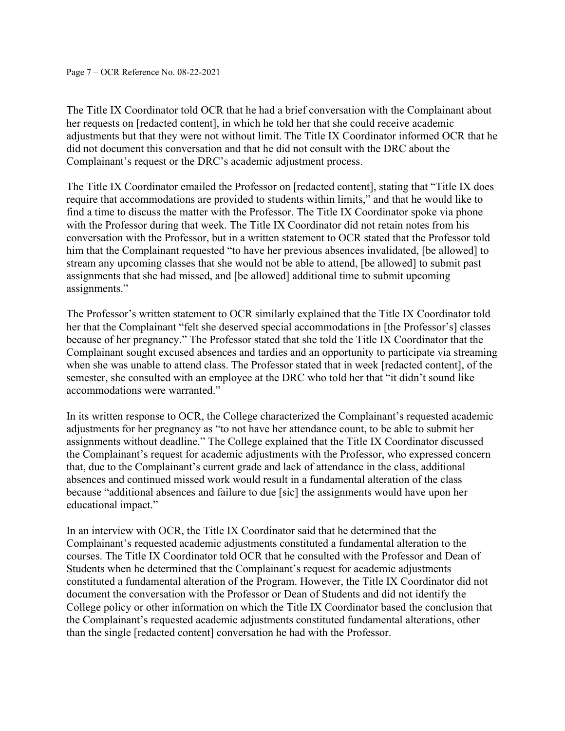The Title IX Coordinator told OCR that he had a brief conversation with the Complainant about her requests on [redacted content], in which he told her that she could receive academic adjustments but that they were not without limit. The Title IX Coordinator informed OCR that he did not document this conversation and that he did not consult with the DRC about the Complainant's request or the DRC's academic adjustment process.

The Title IX Coordinator emailed the Professor on [redacted content], stating that "Title IX does require that accommodations are provided to students within limits," and that he would like to find a time to discuss the matter with the Professor. The Title IX Coordinator spoke via phone with the Professor during that week. The Title IX Coordinator did not retain notes from his conversation with the Professor, but in a written statement to OCR stated that the Professor told him that the Complainant requested "to have her previous absences invalidated, [be allowed] to stream any upcoming classes that she would not be able to attend, [be allowed] to submit past assignments that she had missed, and [be allowed] additional time to submit upcoming assignments."

The Professor's written statement to OCR similarly explained that the Title IX Coordinator told her that the Complainant "felt she deserved special accommodations in [the Professor's] classes because of her pregnancy." The Professor stated that she told the Title IX Coordinator that the Complainant sought excused absences and tardies and an opportunity to participate via streaming when she was unable to attend class. The Professor stated that in week [redacted content], of the semester, she consulted with an employee at the DRC who told her that "it didn't sound like accommodations were warranted."

In its written response to OCR, the College characterized the Complainant's requested academic adjustments for her pregnancy as "to not have her attendance count, to be able to submit her assignments without deadline." The College explained that the Title IX Coordinator discussed the Complainant's request for academic adjustments with the Professor, who expressed concern that, due to the Complainant's current grade and lack of attendance in the class, additional absences and continued missed work would result in a fundamental alteration of the class because "additional absences and failure to due [sic] the assignments would have upon her educational impact."

In an interview with OCR, the Title IX Coordinator said that he determined that the Complainant's requested academic adjustments constituted a fundamental alteration to the courses. The Title IX Coordinator told OCR that he consulted with the Professor and Dean of Students when he determined that the Complainant's request for academic adjustments constituted a fundamental alteration of the Program. However, the Title IX Coordinator did not document the conversation with the Professor or Dean of Students and did not identify the College policy or other information on which the Title IX Coordinator based the conclusion that the Complainant's requested academic adjustments constituted fundamental alterations, other than the single [redacted content] conversation he had with the Professor.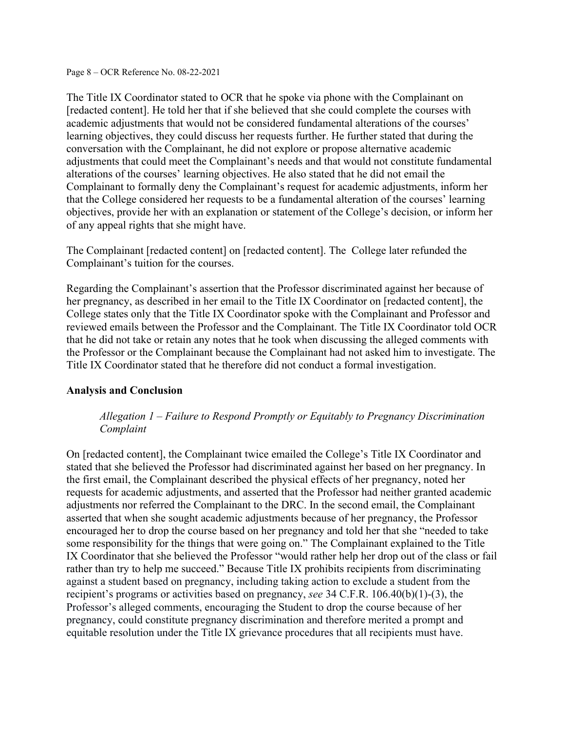Page 8 – OCR Reference No. 08-22-2021

The Title IX Coordinator stated to OCR that he spoke via phone with the Complainant on [redacted content]. He told her that if she believed that she could complete the courses with academic adjustments that would not be considered fundamental alterations of the courses' learning objectives, they could discuss her requests further. He further stated that during the conversation with the Complainant, he did not explore or propose alternative academic adjustments that could meet the Complainant's needs and that would not constitute fundamental alterations of the courses' learning objectives. He also stated that he did not email the Complainant to formally deny the Complainant's request for academic adjustments, inform her that the College considered her requests to be a fundamental alteration of the courses' learning objectives, provide her with an explanation or statement of the College's decision, or inform her of any appeal rights that she might have.

The Complainant [redacted content] on [redacted content]. The College later refunded the Complainant's tuition for the courses.

Regarding the Complainant's assertion that the Professor discriminated against her because of her pregnancy, as described in her email to the Title IX Coordinator on [redacted content], the College states only that the Title IX Coordinator spoke with the Complainant and Professor and reviewed emails between the Professor and the Complainant. The Title IX Coordinator told OCR that he did not take or retain any notes that he took when discussing the alleged comments with the Professor or the Complainant because the Complainant had not asked him to investigate. The Title IX Coordinator stated that he therefore did not conduct a formal investigation.

## **Analysis and Conclusion**

# *Allegation 1 – Failure to Respond Promptly or Equitably to Pregnancy Discrimination Complaint*

On [redacted content], the Complainant twice emailed the College's Title IX Coordinator and stated that she believed the Professor had discriminated against her based on her pregnancy. In the first email, the Complainant described the physical effects of her pregnancy, noted her requests for academic adjustments, and asserted that the Professor had neither granted academic adjustments nor referred the Complainant to the DRC. In the second email, the Complainant asserted that when she sought academic adjustments because of her pregnancy, the Professor encouraged her to drop the course based on her pregnancy and told her that she "needed to take some responsibility for the things that were going on." The Complainant explained to the Title IX Coordinator that she believed the Professor "would rather help her drop out of the class or fail rather than try to help me succeed." Because Title IX prohibits recipients from discriminating against a student based on pregnancy, including taking action to exclude a student from the recipient's programs or activities based on pregnancy, *see* 34 C.F.R. 106.40(b)(1)-(3), the Professor's alleged comments, encouraging the Student to drop the course because of her pregnancy, could constitute pregnancy discrimination and therefore merited a prompt and equitable resolution under the Title IX grievance procedures that all recipients must have.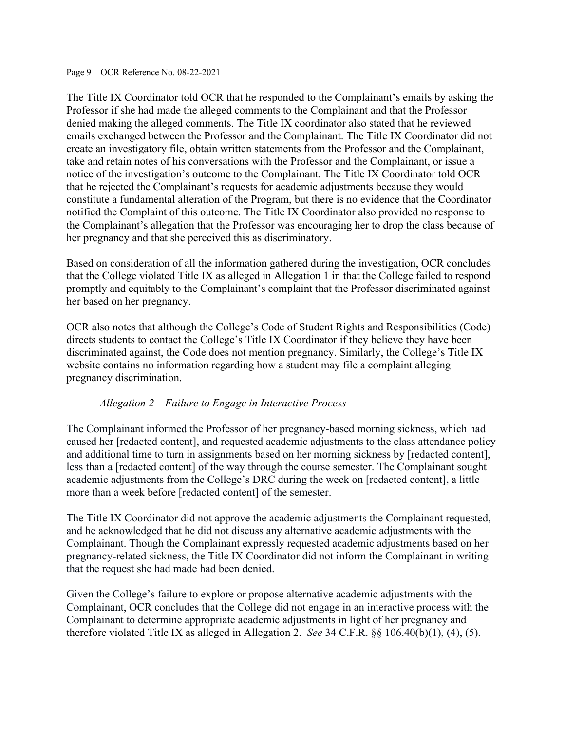Page 9 – OCR Reference No. 08-22-2021

The Title IX Coordinator told OCR that he responded to the Complainant's emails by asking the Professor if she had made the alleged comments to the Complainant and that the Professor denied making the alleged comments. The Title IX coordinator also stated that he reviewed emails exchanged between the Professor and the Complainant. The Title IX Coordinator did not create an investigatory file, obtain written statements from the Professor and the Complainant, take and retain notes of his conversations with the Professor and the Complainant, or issue a notice of the investigation's outcome to the Complainant. The Title IX Coordinator told OCR that he rejected the Complainant's requests for academic adjustments because they would constitute a fundamental alteration of the Program, but there is no evidence that the Coordinator notified the Complaint of this outcome. The Title IX Coordinator also provided no response to the Complainant's allegation that the Professor was encouraging her to drop the class because of her pregnancy and that she perceived this as discriminatory.

Based on consideration of all the information gathered during the investigation, OCR concludes that the College violated Title IX as alleged in Allegation 1 in that the College failed to respond promptly and equitably to the Complainant's complaint that the Professor discriminated against her based on her pregnancy.

OCR also notes that although the College's Code of Student Rights and Responsibilities (Code) directs students to contact the College's Title IX Coordinator if they believe they have been discriminated against, the Code does not mention pregnancy. Similarly, the College's Title IX website contains no information regarding how a student may file a complaint alleging pregnancy discrimination.

# *Allegation 2 – Failure to Engage in Interactive Process*

The Complainant informed the Professor of her pregnancy-based morning sickness, which had caused her [redacted content], and requested academic adjustments to the class attendance policy and additional time to turn in assignments based on her morning sickness by [redacted content], less than a [redacted content] of the way through the course semester. The Complainant sought academic adjustments from the College's DRC during the week on [redacted content], a little more than a week before [redacted content] of the semester.

The Title IX Coordinator did not approve the academic adjustments the Complainant requested, and he acknowledged that he did not discuss any alternative academic adjustments with the Complainant. Though the Complainant expressly requested academic adjustments based on her pregnancy-related sickness, the Title IX Coordinator did not inform the Complainant in writing that the request she had made had been denied.

Given the College's failure to explore or propose alternative academic adjustments with the Complainant, OCR concludes that the College did not engage in an interactive process with the Complainant to determine appropriate academic adjustments in light of her pregnancy and therefore violated Title IX as alleged in Allegation 2. *See* 34 C.F.R. §§ 106.40(b)(1), (4), (5).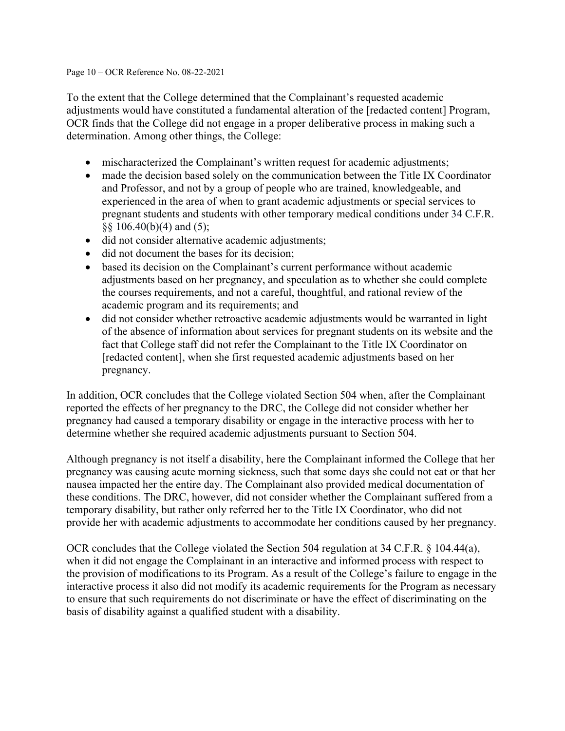#### Page 10 – OCR Reference No. 08-22-2021

To the extent that the College determined that the Complainant's requested academic adjustments would have constituted a fundamental alteration of the [redacted content] Program, OCR finds that the College did not engage in a proper deliberative process in making such a determination. Among other things, the College:

- mischaracterized the Complainant's written request for academic adjustments;
- made the decision based solely on the communication between the Title IX Coordinator and Professor, and not by a group of people who are trained, knowledgeable, and experienced in the area of when to grant academic adjustments or special services to pregnant students and students with other temporary medical conditions under 34 C.F.R.  $\S$ § 106.40(b)(4) and (5);
- did not consider alternative academic adjustments;
- did not document the bases for its decision;
- based its decision on the Complainant's current performance without academic adjustments based on her pregnancy, and speculation as to whether she could complete the courses requirements, and not a careful, thoughtful, and rational review of the academic program and its requirements; and
- did not consider whether retroactive academic adjustments would be warranted in light of the absence of information about services for pregnant students on its website and the fact that College staff did not refer the Complainant to the Title IX Coordinator on [redacted content], when she first requested academic adjustments based on her pregnancy.

In addition, OCR concludes that the College violated Section 504 when, after the Complainant reported the effects of her pregnancy to the DRC, the College did not consider whether her pregnancy had caused a temporary disability or engage in the interactive process with her to determine whether she required academic adjustments pursuant to Section 504.

Although pregnancy is not itself a disability, here the Complainant informed the College that her pregnancy was causing acute morning sickness, such that some days she could not eat or that her nausea impacted her the entire day. The Complainant also provided medical documentation of these conditions. The DRC, however, did not consider whether the Complainant suffered from a temporary disability, but rather only referred her to the Title IX Coordinator, who did not provide her with academic adjustments to accommodate her conditions caused by her pregnancy.

OCR concludes that the College violated the Section 504 regulation at 34 C.F.R. § 104.44(a), when it did not engage the Complainant in an interactive and informed process with respect to the provision of modifications to its Program. As a result of the College's failure to engage in the interactive process it also did not modify its academic requirements for the Program as necessary to ensure that such requirements do not discriminate or have the effect of discriminating on the basis of disability against a qualified student with a disability.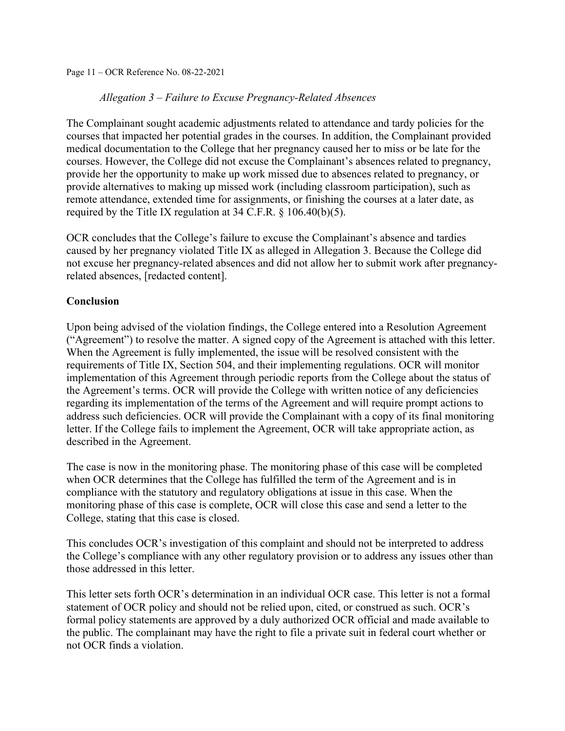Page 11 – OCR Reference No. 08-22-2021

### *Allegation 3 – Failure to Excuse Pregnancy-Related Absences*

The Complainant sought academic adjustments related to attendance and tardy policies for the courses that impacted her potential grades in the courses. In addition, the Complainant provided medical documentation to the College that her pregnancy caused her to miss or be late for the courses. However, the College did not excuse the Complainant's absences related to pregnancy, provide her the opportunity to make up work missed due to absences related to pregnancy, or provide alternatives to making up missed work (including classroom participation), such as remote attendance, extended time for assignments, or finishing the courses at a later date, as required by the Title IX regulation at 34 C.F.R. § 106.40(b)(5).

OCR concludes that the College's failure to excuse the Complainant's absence and tardies caused by her pregnancy violated Title IX as alleged in Allegation 3. Because the College did not excuse her pregnancy-related absences and did not allow her to submit work after pregnancyrelated absences, [redacted content].

#### **Conclusion**

Upon being advised of the violation findings, the College entered into a Resolution Agreement ("Agreement") to resolve the matter. A signed copy of the Agreement is attached with this letter. When the Agreement is fully implemented, the issue will be resolved consistent with the requirements of Title IX, Section 504, and their implementing regulations. OCR will monitor implementation of this Agreement through periodic reports from the College about the status of the Agreement's terms. OCR will provide the College with written notice of any deficiencies regarding its implementation of the terms of the Agreement and will require prompt actions to address such deficiencies. OCR will provide the Complainant with a copy of its final monitoring letter. If the College fails to implement the Agreement, OCR will take appropriate action, as described in the Agreement.

The case is now in the monitoring phase. The monitoring phase of this case will be completed when OCR determines that the College has fulfilled the term of the Agreement and is in compliance with the statutory and regulatory obligations at issue in this case. When the monitoring phase of this case is complete, OCR will close this case and send a letter to the College, stating that this case is closed.

This concludes OCR's investigation of this complaint and should not be interpreted to address the College's compliance with any other regulatory provision or to address any issues other than those addressed in this letter.

This letter sets forth OCR's determination in an individual OCR case. This letter is not a formal statement of OCR policy and should not be relied upon, cited, or construed as such. OCR's formal policy statements are approved by a duly authorized OCR official and made available to the public. The complainant may have the right to file a private suit in federal court whether or not OCR finds a violation.